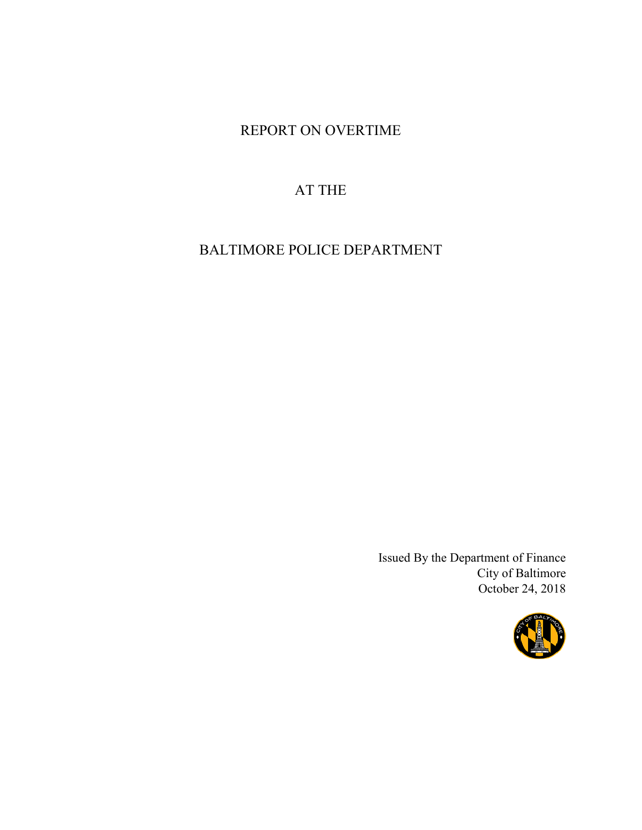# REPORT ON OVERTIME

# AT THE

BALTIMORE POLICE DEPARTMENT

Issued By the Department of Finance City of Baltimore October 24, 2018

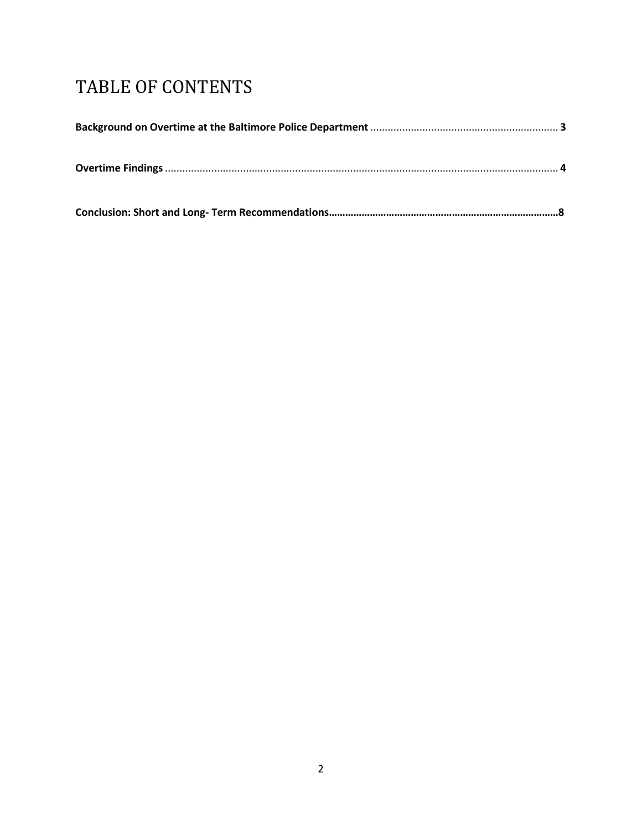# TABLE OF CONTENTS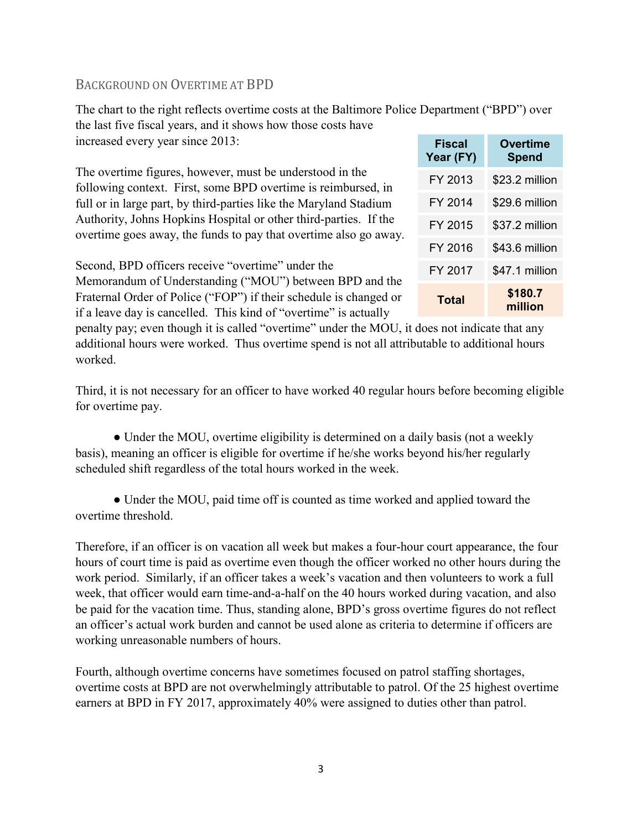## BACKGROUND ON OVERTIME AT BPD

The chart to the right reflects overtime costs at the Baltimore Police Department ("BPD") over the last five fiscal years, and it shows how those costs have increased every year since 2013: **Fiscal Overtime** 

The overtime figures, however, must be understood in the following context. First, some BPD overtime is reimbursed, in full or in large part, by third-parties like the Maryland Stadium Authority, Johns Hopkins Hospital or other third-parties. If the overtime goes away, the funds to pay that overtime also go away.

**Year (FY) Spend** FY 2013 \$23.2 million FY 2014 \$29.6 million FY 2015 \$37.2 million FY 2016 \$43.6 million FY 2017 \$47.1 million **Total \$180.7 million**

Second, BPD officers receive "overtime" under the Memorandum of Understanding ("MOU") between BPD and the Fraternal Order of Police ("FOP") if their schedule is changed or if a leave day is cancelled. This kind of "overtime" is actually

penalty pay; even though it is called "overtime" under the MOU, it does not indicate that any additional hours were worked. Thus overtime spend is not all attributable to additional hours worked.

Third, it is not necessary for an officer to have worked 40 regular hours before becoming eligible for overtime pay.

• Under the MOU, overtime eligibility is determined on a daily basis (not a weekly basis), meaning an officer is eligible for overtime if he/she works beyond his/her regularly scheduled shift regardless of the total hours worked in the week.

• Under the MOU, paid time off is counted as time worked and applied toward the overtime threshold.

Therefore, if an officer is on vacation all week but makes a four-hour court appearance, the four hours of court time is paid as overtime even though the officer worked no other hours during the work period. Similarly, if an officer takes a week's vacation and then volunteers to work a full week, that officer would earn time-and-a-half on the 40 hours worked during vacation, and also be paid for the vacation time. Thus, standing alone, BPD's gross overtime figures do not reflect an officer's actual work burden and cannot be used alone as criteria to determine if officers are working unreasonable numbers of hours.

Fourth, although overtime concerns have sometimes focused on patrol staffing shortages, overtime costs at BPD are not overwhelmingly attributable to patrol. Of the 25 highest overtime earners at BPD in FY 2017, approximately 40% were assigned to duties other than patrol.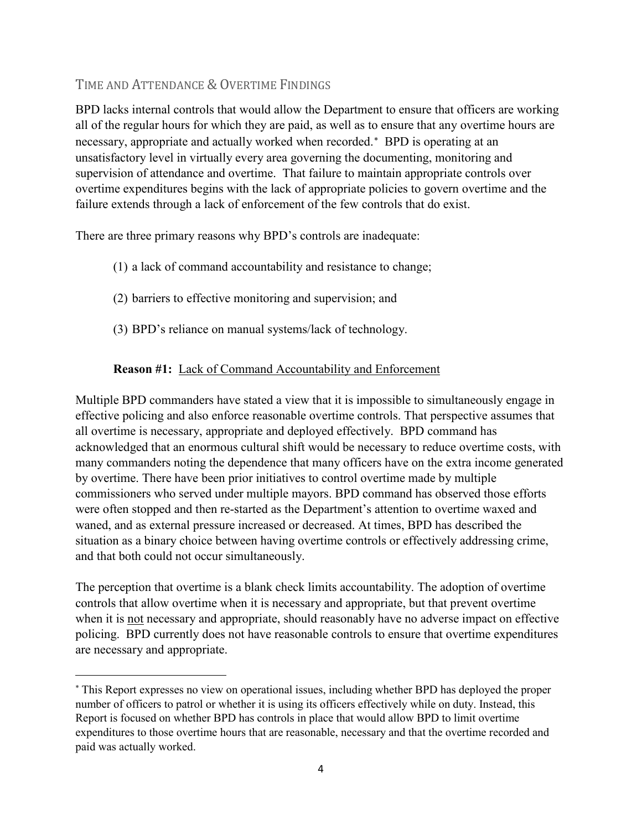# TIME AND ATTENDANCE & OVERTIME FINDINGS

 $\overline{\phantom{a}}$ 

BPD lacks internal controls that would allow the Department to ensure that officers are working all of the regular hours for which they are paid, as well as to ensure that any overtime hours are necessary, appropriate and actually worked when recorded.<sup>[∗](#page-3-0)</sup> BPD is operating at an unsatisfactory level in virtually every area governing the documenting, monitoring and supervision of attendance and overtime. That failure to maintain appropriate controls over overtime expenditures begins with the lack of appropriate policies to govern overtime and the failure extends through a lack of enforcement of the few controls that do exist.

There are three primary reasons why BPD's controls are inadequate:

- (1) a lack of command accountability and resistance to change;
- (2) barriers to effective monitoring and supervision; and
- (3) BPD's reliance on manual systems/lack of technology.

## **Reason #1:** Lack of Command Accountability and Enforcement

Multiple BPD commanders have stated a view that it is impossible to simultaneously engage in effective policing and also enforce reasonable overtime controls. That perspective assumes that all overtime is necessary, appropriate and deployed effectively. BPD command has acknowledged that an enormous cultural shift would be necessary to reduce overtime costs, with many commanders noting the dependence that many officers have on the extra income generated by overtime. There have been prior initiatives to control overtime made by multiple commissioners who served under multiple mayors. BPD command has observed those efforts were often stopped and then re-started as the Department's attention to overtime waxed and waned, and as external pressure increased or decreased. At times, BPD has described the situation as a binary choice between having overtime controls or effectively addressing crime, and that both could not occur simultaneously.

The perception that overtime is a blank check limits accountability. The adoption of overtime controls that allow overtime when it is necessary and appropriate, but that prevent overtime when it is not necessary and appropriate, should reasonably have no adverse impact on effective policing. BPD currently does not have reasonable controls to ensure that overtime expenditures are necessary and appropriate.

<span id="page-3-0"></span><sup>∗</sup> This Report expresses no view on operational issues, including whether BPD has deployed the proper number of officers to patrol or whether it is using its officers effectively while on duty. Instead, this Report is focused on whether BPD has controls in place that would allow BPD to limit overtime expenditures to those overtime hours that are reasonable, necessary and that the overtime recorded and paid was actually worked.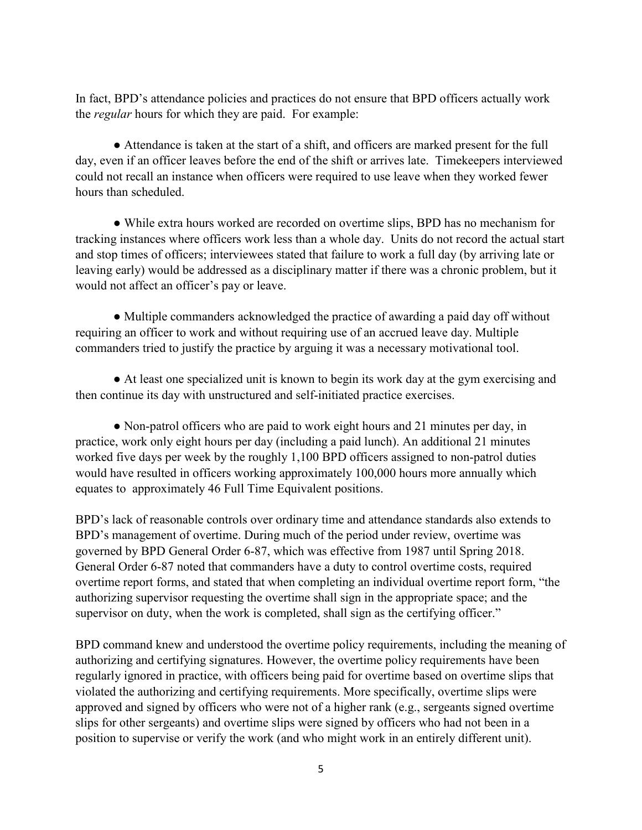In fact, BPD's attendance policies and practices do not ensure that BPD officers actually work the *regular* hours for which they are paid. For example:

● Attendance is taken at the start of a shift, and officers are marked present for the full day, even if an officer leaves before the end of the shift or arrives late. Timekeepers interviewed could not recall an instance when officers were required to use leave when they worked fewer hours than scheduled.

● While extra hours worked are recorded on overtime slips, BPD has no mechanism for tracking instances where officers work less than a whole day. Units do not record the actual start and stop times of officers; interviewees stated that failure to work a full day (by arriving late or leaving early) would be addressed as a disciplinary matter if there was a chronic problem, but it would not affect an officer's pay or leave.

• Multiple commanders acknowledged the practice of awarding a paid day off without requiring an officer to work and without requiring use of an accrued leave day. Multiple commanders tried to justify the practice by arguing it was a necessary motivational tool.

● At least one specialized unit is known to begin its work day at the gym exercising and then continue its day with unstructured and self-initiated practice exercises.

• Non-patrol officers who are paid to work eight hours and 21 minutes per day, in practice, work only eight hours per day (including a paid lunch). An additional 21 minutes worked five days per week by the roughly 1,100 BPD officers assigned to non-patrol duties would have resulted in officers working approximately 100,000 hours more annually which equates to approximately 46 Full Time Equivalent positions.

BPD's lack of reasonable controls over ordinary time and attendance standards also extends to BPD's management of overtime. During much of the period under review, overtime was governed by BPD General Order 6-87, which was effective from 1987 until Spring 2018. General Order 6-87 noted that commanders have a duty to control overtime costs, required overtime report forms, and stated that when completing an individual overtime report form, "the authorizing supervisor requesting the overtime shall sign in the appropriate space; and the supervisor on duty, when the work is completed, shall sign as the certifying officer."

BPD command knew and understood the overtime policy requirements, including the meaning of authorizing and certifying signatures. However, the overtime policy requirements have been regularly ignored in practice, with officers being paid for overtime based on overtime slips that violated the authorizing and certifying requirements. More specifically, overtime slips were approved and signed by officers who were not of a higher rank (e.g., sergeants signed overtime slips for other sergeants) and overtime slips were signed by officers who had not been in a position to supervise or verify the work (and who might work in an entirely different unit).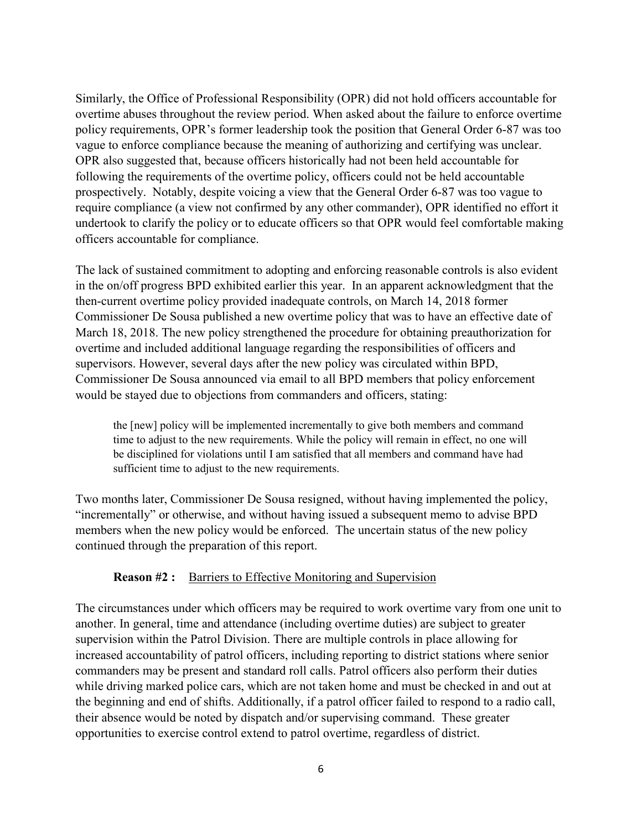Similarly, the Office of Professional Responsibility (OPR) did not hold officers accountable for overtime abuses throughout the review period. When asked about the failure to enforce overtime policy requirements, OPR's former leadership took the position that General Order 6-87 was too vague to enforce compliance because the meaning of authorizing and certifying was unclear. OPR also suggested that, because officers historically had not been held accountable for following the requirements of the overtime policy, officers could not be held accountable prospectively. Notably, despite voicing a view that the General Order 6-87 was too vague to require compliance (a view not confirmed by any other commander), OPR identified no effort it undertook to clarify the policy or to educate officers so that OPR would feel comfortable making officers accountable for compliance.

The lack of sustained commitment to adopting and enforcing reasonable controls is also evident in the on/off progress BPD exhibited earlier this year. In an apparent acknowledgment that the then-current overtime policy provided inadequate controls, on March 14, 2018 former Commissioner De Sousa published a new overtime policy that was to have an effective date of March 18, 2018. The new policy strengthened the procedure for obtaining preauthorization for overtime and included additional language regarding the responsibilities of officers and supervisors. However, several days after the new policy was circulated within BPD, Commissioner De Sousa announced via email to all BPD members that policy enforcement would be stayed due to objections from commanders and officers, stating:

the [new] policy will be implemented incrementally to give both members and command time to adjust to the new requirements. While the policy will remain in effect, no one will be disciplined for violations until I am satisfied that all members and command have had sufficient time to adjust to the new requirements.

Two months later, Commissioner De Sousa resigned, without having implemented the policy, "incrementally" or otherwise, and without having issued a subsequent memo to advise BPD members when the new policy would be enforced. The uncertain status of the new policy continued through the preparation of this report.

#### **Reason #2 :** Barriers to Effective Monitoring and Supervision

The circumstances under which officers may be required to work overtime vary from one unit to another. In general, time and attendance (including overtime duties) are subject to greater supervision within the Patrol Division. There are multiple controls in place allowing for increased accountability of patrol officers, including reporting to district stations where senior commanders may be present and standard roll calls. Patrol officers also perform their duties while driving marked police cars, which are not taken home and must be checked in and out at the beginning and end of shifts. Additionally, if a patrol officer failed to respond to a radio call, their absence would be noted by dispatch and/or supervising command. These greater opportunities to exercise control extend to patrol overtime, regardless of district.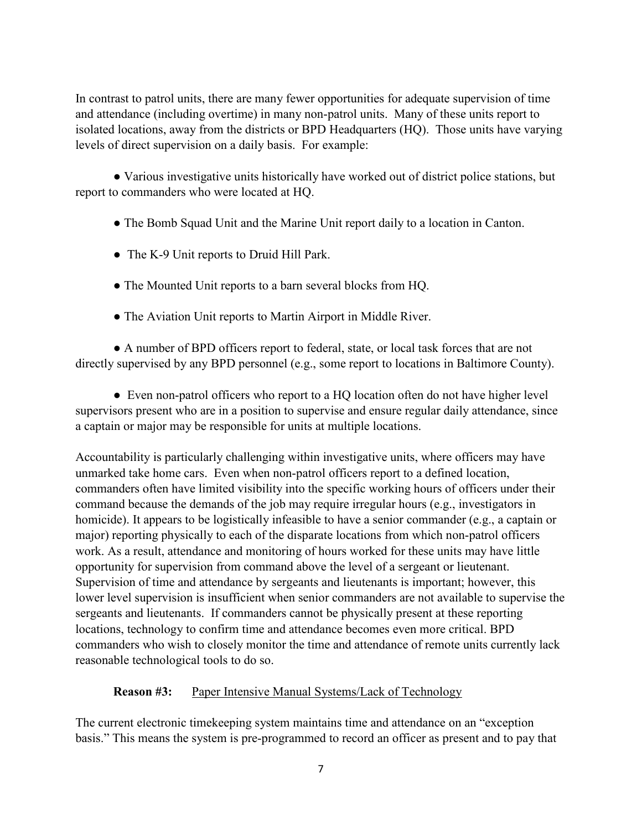In contrast to patrol units, there are many fewer opportunities for adequate supervision of time and attendance (including overtime) in many non-patrol units. Many of these units report to isolated locations, away from the districts or BPD Headquarters (HQ). Those units have varying levels of direct supervision on a daily basis. For example:

● Various investigative units historically have worked out of district police stations, but report to commanders who were located at HQ.

- The Bomb Squad Unit and the Marine Unit report daily to a location in Canton.
- The K-9 Unit reports to Druid Hill Park.
- The Mounted Unit reports to a barn several blocks from HQ.
- The Aviation Unit reports to Martin Airport in Middle River.

● A number of BPD officers report to federal, state, or local task forces that are not directly supervised by any BPD personnel (e.g., some report to locations in Baltimore County).

• Even non-patrol officers who report to a HQ location often do not have higher level supervisors present who are in a position to supervise and ensure regular daily attendance, since a captain or major may be responsible for units at multiple locations.

Accountability is particularly challenging within investigative units, where officers may have unmarked take home cars. Even when non-patrol officers report to a defined location, commanders often have limited visibility into the specific working hours of officers under their command because the demands of the job may require irregular hours (e.g., investigators in homicide). It appears to be logistically infeasible to have a senior commander (e.g., a captain or major) reporting physically to each of the disparate locations from which non-patrol officers work. As a result, attendance and monitoring of hours worked for these units may have little opportunity for supervision from command above the level of a sergeant or lieutenant. Supervision of time and attendance by sergeants and lieutenants is important; however, this lower level supervision is insufficient when senior commanders are not available to supervise the sergeants and lieutenants. If commanders cannot be physically present at these reporting locations, technology to confirm time and attendance becomes even more critical. BPD commanders who wish to closely monitor the time and attendance of remote units currently lack reasonable technological tools to do so.

## **Reason #3:** Paper Intensive Manual Systems/Lack of Technology

The current electronic timekeeping system maintains time and attendance on an "exception basis." This means the system is pre-programmed to record an officer as present and to pay that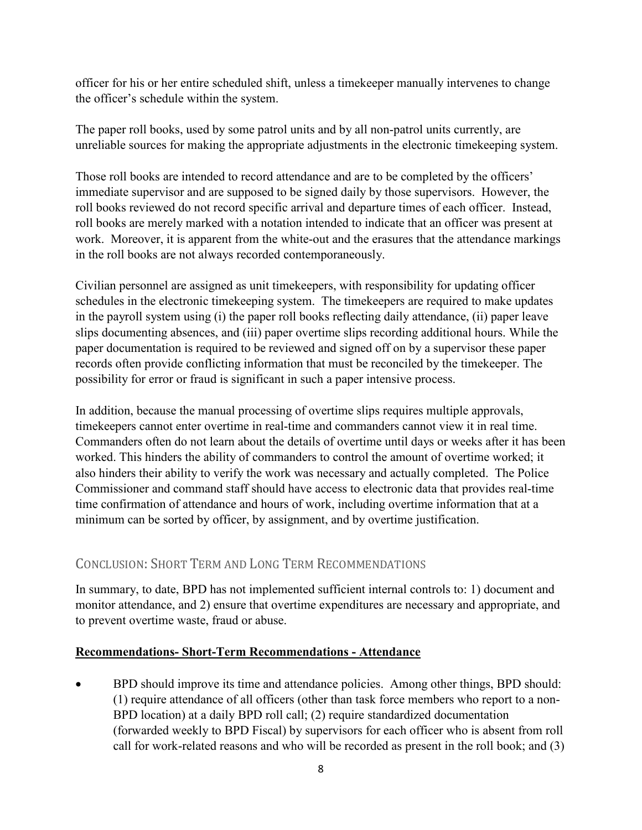officer for his or her entire scheduled shift, unless a timekeeper manually intervenes to change the officer's schedule within the system.

The paper roll books, used by some patrol units and by all non-patrol units currently, are unreliable sources for making the appropriate adjustments in the electronic timekeeping system.

Those roll books are intended to record attendance and are to be completed by the officers' immediate supervisor and are supposed to be signed daily by those supervisors. However, the roll books reviewed do not record specific arrival and departure times of each officer. Instead, roll books are merely marked with a notation intended to indicate that an officer was present at work. Moreover, it is apparent from the white-out and the erasures that the attendance markings in the roll books are not always recorded contemporaneously.

Civilian personnel are assigned as unit timekeepers, with responsibility for updating officer schedules in the electronic timekeeping system. The timekeepers are required to make updates in the payroll system using (i) the paper roll books reflecting daily attendance, (ii) paper leave slips documenting absences, and (iii) paper overtime slips recording additional hours. While the paper documentation is required to be reviewed and signed off on by a supervisor these paper records often provide conflicting information that must be reconciled by the timekeeper. The possibility for error or fraud is significant in such a paper intensive process.

In addition, because the manual processing of overtime slips requires multiple approvals, timekeepers cannot enter overtime in real-time and commanders cannot view it in real time. Commanders often do not learn about the details of overtime until days or weeks after it has been worked. This hinders the ability of commanders to control the amount of overtime worked; it also hinders their ability to verify the work was necessary and actually completed. The Police Commissioner and command staff should have access to electronic data that provides real-time time confirmation of attendance and hours of work, including overtime information that at a minimum can be sorted by officer, by assignment, and by overtime justification.

# CONCLUSION: SHORT TERM AND LONG TERM RECOMMENDATIONS

In summary, to date, BPD has not implemented sufficient internal controls to: 1) document and monitor attendance, and 2) ensure that overtime expenditures are necessary and appropriate, and to prevent overtime waste, fraud or abuse.

# **Recommendations- Short-Term Recommendations - Attendance**

• BPD should improve its time and attendance policies. Among other things, BPD should: (1) require attendance of all officers (other than task force members who report to a non-BPD location) at a daily BPD roll call; (2) require standardized documentation (forwarded weekly to BPD Fiscal) by supervisors for each officer who is absent from roll call for work-related reasons and who will be recorded as present in the roll book; and (3)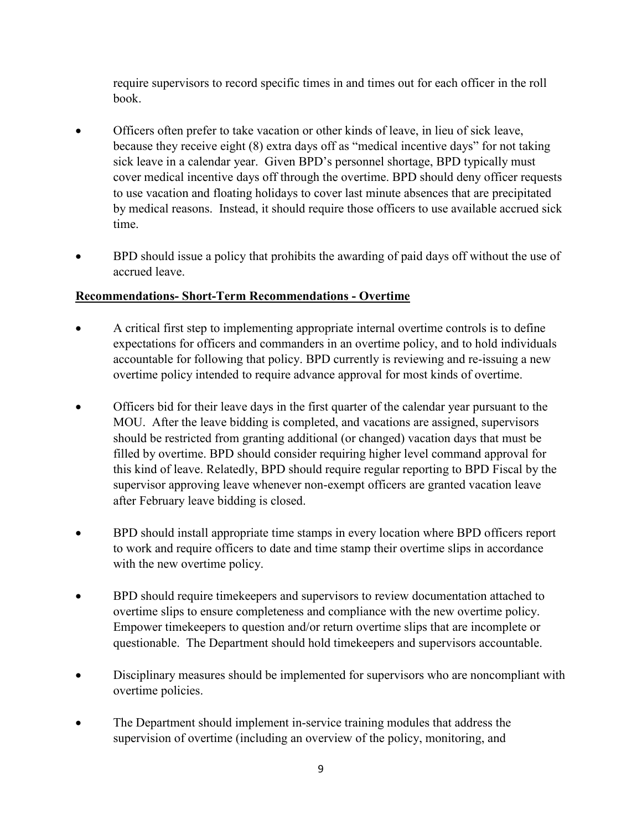require supervisors to record specific times in and times out for each officer in the roll book.

- Officers often prefer to take vacation or other kinds of leave, in lieu of sick leave, because they receive eight (8) extra days off as "medical incentive days" for not taking sick leave in a calendar year. Given BPD's personnel shortage, BPD typically must cover medical incentive days off through the overtime. BPD should deny officer requests to use vacation and floating holidays to cover last minute absences that are precipitated by medical reasons. Instead, it should require those officers to use available accrued sick time.
- BPD should issue a policy that prohibits the awarding of paid days off without the use of accrued leave.

# **Recommendations- Short-Term Recommendations - Overtime**

- A critical first step to implementing appropriate internal overtime controls is to define expectations for officers and commanders in an overtime policy, and to hold individuals accountable for following that policy. BPD currently is reviewing and re-issuing a new overtime policy intended to require advance approval for most kinds of overtime.
- Officers bid for their leave days in the first quarter of the calendar year pursuant to the MOU. After the leave bidding is completed, and vacations are assigned, supervisors should be restricted from granting additional (or changed) vacation days that must be filled by overtime. BPD should consider requiring higher level command approval for this kind of leave. Relatedly, BPD should require regular reporting to BPD Fiscal by the supervisor approving leave whenever non-exempt officers are granted vacation leave after February leave bidding is closed.
- BPD should install appropriate time stamps in every location where BPD officers report to work and require officers to date and time stamp their overtime slips in accordance with the new overtime policy.
- BPD should require timekeepers and supervisors to review documentation attached to overtime slips to ensure completeness and compliance with the new overtime policy. Empower timekeepers to question and/or return overtime slips that are incomplete or questionable. The Department should hold timekeepers and supervisors accountable.
- Disciplinary measures should be implemented for supervisors who are noncompliant with overtime policies.
- The Department should implement in-service training modules that address the supervision of overtime (including an overview of the policy, monitoring, and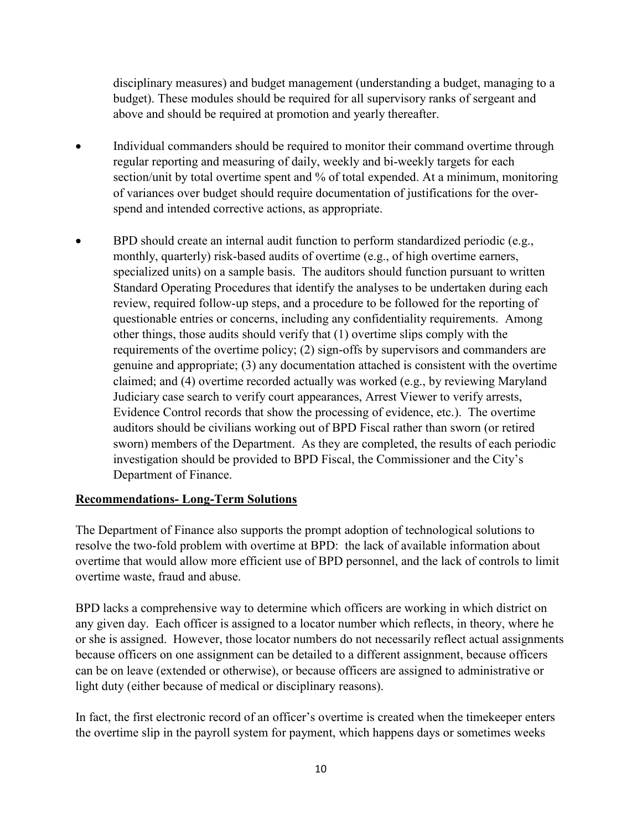disciplinary measures) and budget management (understanding a budget, managing to a budget). These modules should be required for all supervisory ranks of sergeant and above and should be required at promotion and yearly thereafter.

- Individual commanders should be required to monitor their command overtime through regular reporting and measuring of daily, weekly and bi-weekly targets for each section/unit by total overtime spent and % of total expended. At a minimum, monitoring of variances over budget should require documentation of justifications for the overspend and intended corrective actions, as appropriate.
- BPD should create an internal audit function to perform standardized periodic (e.g., monthly, quarterly) risk-based audits of overtime (e.g., of high overtime earners, specialized units) on a sample basis. The auditors should function pursuant to written Standard Operating Procedures that identify the analyses to be undertaken during each review, required follow-up steps, and a procedure to be followed for the reporting of questionable entries or concerns, including any confidentiality requirements. Among other things, those audits should verify that (1) overtime slips comply with the requirements of the overtime policy; (2) sign-offs by supervisors and commanders are genuine and appropriate; (3) any documentation attached is consistent with the overtime claimed; and (4) overtime recorded actually was worked (e.g., by reviewing Maryland Judiciary case search to verify court appearances, Arrest Viewer to verify arrests, Evidence Control records that show the processing of evidence, etc.). The overtime auditors should be civilians working out of BPD Fiscal rather than sworn (or retired sworn) members of the Department. As they are completed, the results of each periodic investigation should be provided to BPD Fiscal, the Commissioner and the City's Department of Finance.

## **Recommendations- Long-Term Solutions**

The Department of Finance also supports the prompt adoption of technological solutions to resolve the two-fold problem with overtime at BPD: the lack of available information about overtime that would allow more efficient use of BPD personnel, and the lack of controls to limit overtime waste, fraud and abuse.

BPD lacks a comprehensive way to determine which officers are working in which district on any given day. Each officer is assigned to a locator number which reflects, in theory, where he or she is assigned. However, those locator numbers do not necessarily reflect actual assignments because officers on one assignment can be detailed to a different assignment, because officers can be on leave (extended or otherwise), or because officers are assigned to administrative or light duty (either because of medical or disciplinary reasons).

In fact, the first electronic record of an officer's overtime is created when the timekeeper enters the overtime slip in the payroll system for payment, which happens days or sometimes weeks